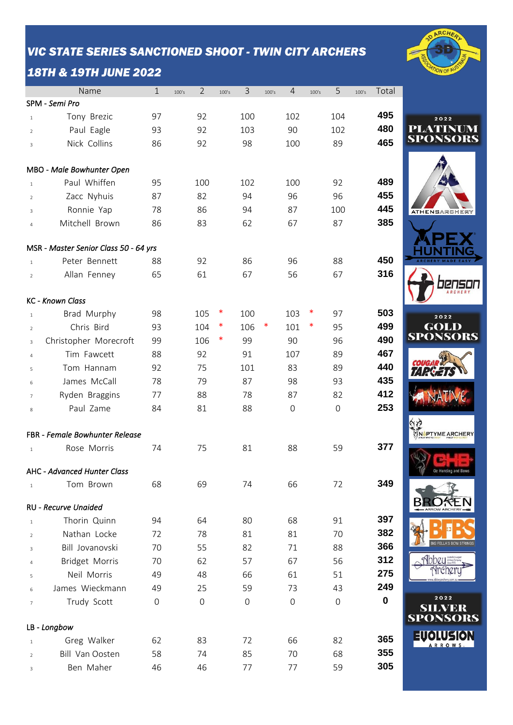#### *VIC STATE SERIES SANCTIONED SHOOT - TWIN CITY ARCHERS*

## *18TH & 19TH JUNE 2022*

|                | Name                                  | $\mathbf{1}$ | 100's | $\overline{2}$ | 100's  | 3                   | 100's | $\overline{4}$ | 100's | 5            | 100's | Total       |                                          |
|----------------|---------------------------------------|--------------|-------|----------------|--------|---------------------|-------|----------------|-------|--------------|-------|-------------|------------------------------------------|
|                | SPM - Semi Pro                        |              |       |                |        |                     |       |                |       |              |       |             |                                          |
| $\mathbf{1}$   | Tony Brezic                           | 97           |       | 92             |        | 100                 |       | 102            |       | 104          |       | 495         | 2022                                     |
| $\overline{2}$ | Paul Eagle                            | 93           |       | 92             |        | 103                 |       | 90             |       | 102          |       | 480         | PLATINUM                                 |
| $\overline{3}$ | Nick Collins                          | 86           |       | 92             |        | 98                  |       | 100            |       | 89           |       | 465         | <b>SPONSORS</b>                          |
|                | MBO - Male Bowhunter Open             |              |       |                |        |                     |       |                |       |              |       |             |                                          |
| $\mathbf{1}$   | Paul Whiffen                          | 95           |       | 100            |        | 102                 |       | 100            |       | 92           |       | 489         |                                          |
| $\overline{2}$ | Zacc Nyhuis                           | 87           |       | 82             |        | 94                  |       | 96             |       | 96           |       | 455         |                                          |
| 3              | Ronnie Yap                            | 78           |       | 86             |        | 94                  |       | 87             |       | 100          |       | 445         | <b>ATHENSARCHERY</b>                     |
| 4              | Mitchell Brown                        | 86           |       | 83             |        | 62                  |       | 67             |       | 87           |       | 385         |                                          |
|                |                                       |              |       |                |        |                     |       |                |       |              |       |             |                                          |
|                | MSR - Master Senior Class 50 - 64 yrs |              |       |                |        |                     |       |                |       |              |       |             |                                          |
| $\mathbf{1}$   | Peter Bennett                         | 88           |       | 92             |        | 86                  |       | 96             |       | 88           |       | 450         |                                          |
| $\overline{2}$ | Allan Fenney                          | 65           |       | 61             |        | 67                  |       | 56             |       | 67           |       | 316         |                                          |
|                | <b>KC</b> - Known Class               |              |       |                |        |                     |       |                |       |              |       |             |                                          |
| $\mathbf{1}$   | Brad Murphy                           | 98           |       | 105            | $\ast$ | 100                 |       | 103            | ∗     | 97           |       | 503         | 2022                                     |
| $\overline{2}$ | Chris Bird                            | 93           |       | 104            | ∗      | 106                 | ∗     | 101            | ∗     | 95           |       | 499         | <b>GOLD</b>                              |
| 3              | Christopher Morecroft                 | 99           |       | 106            | $\ast$ | 99                  |       | 90             |       | 96           |       | 490         | <b>SPONSORS</b>                          |
| $\overline{4}$ | Tim Fawcett                           | 88           |       | 92             |        | 91                  |       | 107            |       | 89           |       | 467         |                                          |
| 5              | Tom Hannam                            | 92           |       | 75             |        | 101                 |       | 83             |       | 89           |       | 440         |                                          |
| 6              | James McCall                          | 78           |       | 79             |        | 87                  |       | 98             |       | 93           |       | 435         |                                          |
| $\overline{7}$ | Ryden Braggins                        | 77           |       | 88             |        | 78                  |       | 87             |       | 82           |       | 412         |                                          |
| 8              | Paul Zame                             | 84           |       | 81             |        | 88                  |       | $\mathbf 0$    |       | $\mathbf 0$  |       | 253         |                                          |
|                | <b>FBR</b> - Female Bowhunter Release |              |       |                |        |                     |       |                |       |              |       |             | NOPTYME ARCHERY                          |
| $\mathbf{1}$   | Rose Morris                           | 74           |       | 75             |        | 81                  |       | 88             |       | 59           |       | 377         |                                          |
|                |                                       |              |       |                |        |                     |       |                |       |              |       |             |                                          |
|                | AHC - Advanced Hunter Class           |              |       |                |        |                     |       |                |       |              |       |             |                                          |
| $\mathbf{1}$   | Tom Brown                             | 68           |       | 69             |        | 74                  |       | 66             |       | 72           |       | 349         |                                          |
|                | RU - Recurve Unaided                  |              |       |                |        |                     |       |                |       |              |       |             | ARROW ARCHER                             |
| $\mathbf{1}$   | Thorin Quinn                          | 94           |       | 64             |        | 80                  |       | 68             |       | 91           |       | 397         |                                          |
| $\overline{2}$ | Nathan Locke                          | 72           |       | 78             |        | 81                  |       | 81             |       | 70           |       | 382         |                                          |
| 3              | Bill Jovanovski                       | 70           |       | 55             |        | 82                  |       | 71             |       | 88           |       | 366         |                                          |
| 4              | Bridget Morris                        | 70           |       | 62             |        | 57                  |       | 67             |       | 56           |       | 312         | <b>Ahhey</b>                             |
| 5              | Neil Morris                           | 49           |       | 48             |        | 66                  |       | 61             |       | 51           |       | 275         |                                          |
| 6              | James Wieckmann                       | 49           |       | 25             |        | 59                  |       | 73             |       | 43           |       | 249         |                                          |
| $\overline{7}$ | Trudy Scott                           | $\mathbf 0$  |       | $\mathbf 0$    |        | $\mathsf{O}\xspace$ |       | $\mathbf 0$    |       | $\mathsf{O}$ |       | $\mathbf 0$ | 2022<br><b>SILVER</b><br><b>SPONSORS</b> |
|                | LB - Longbow                          |              |       |                |        |                     |       |                |       |              |       |             |                                          |
| $\mathbf{1}$   | Greg Walker                           | 62           |       | 83             |        | 72                  |       | 66             |       | 82           |       | 365         | <b>ARROWS</b>                            |
| $\overline{2}$ | Bill Van Oosten                       | 58           |       | 74             |        | 85                  |       | 70             |       | 68           |       | 355         |                                          |
| 3              | Ben Maher                             | 46           |       | 46             |        | 77                  |       | 77             |       | 59           |       | 305         |                                          |